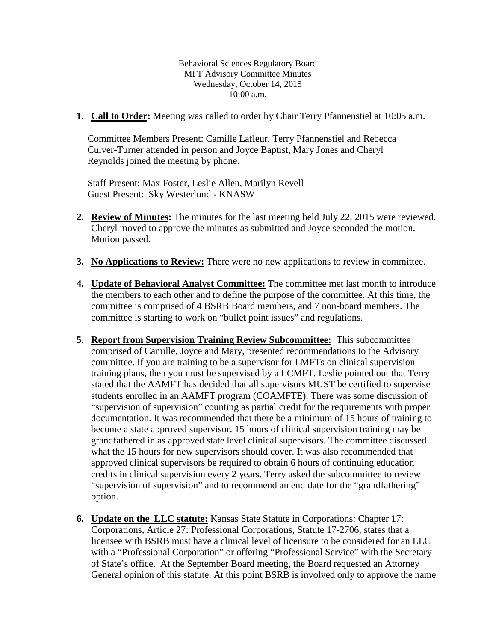Behavioral Sciences Regulatory Board MFT Advisory Committee Minutes Wednesday, October 14, 2015 10:00 a.m.

**1. Call to Order:** Meeting was called to order by Chair Terry Pfannenstiel at 10:05 a.m.

Committee Members Present: Camille Lafleur, Terry Pfannenstiel and Rebecca Culver-Turner attended in person and Joyce Baptist, Mary Jones and Cheryl Reynolds joined the meeting by phone.

Staff Present: Max Foster, Leslie Allen, Marilyn Revell Guest Present: Sky Westerlund - KNASW

- **2. Review of Minutes:** The minutes for the last meeting held July 22, 2015 were reviewed. Cheryl moved to approve the minutes as submitted and Joyce seconded the motion. Motion passed.
- **3. No Applications to Review:** There were no new applications to review in committee.
- **4. Update of Behavioral Analyst Committee:** The committee met last month to introduce the members to each other and to define the purpose of the committee. At this time, the committee is comprised of 4 BSRB Board members, and 7 non-board members. The committee is starting to work on "bullet point issues" and regulations.
- **5. Report from Supervision Training Review Subcommittee:** This subcommittee comprised of Camille, Joyce and Mary, presented recommendations to the Advisory committee. If you are training to be a supervisor for LMFTs on clinical supervision training plans, then you must be supervised by a LCMFT. Leslie pointed out that Terry stated that the AAMFT has decided that all supervisors MUST be certified to supervise students enrolled in an AAMFT program (COAMFTE). There was some discussion of "supervision of supervision" counting as partial credit for the requirements with proper documentation. It was recommended that there be a minimum of 15 hours of training to become a state approved supervisor. 15 hours of clinical supervision training may be grandfathered in as approved state level clinical supervisors. The committee discussed what the 15 hours for new supervisors should cover. It was also recommended that approved clinical supervisors be required to obtain 6 hours of continuing education credits in clinical supervision every 2 years. Terry asked the subcommittee to review "supervision of supervision" and to recommend an end date for the "grandfathering" option.
- **6. Update on the LLC statute:** Kansas State Statute in Corporations: Chapter 17: Corporations, Article 27: Professional Corporations, Statute 17-2706, states that a licensee with BSRB must have a clinical level of licensure to be considered for an LLC with a "Professional Corporation" or offering "Professional Service" with the Secretary of State's office. At the September Board meeting, the Board requested an Attorney General opinion of this statute. At this point BSRB is involved only to approve the name